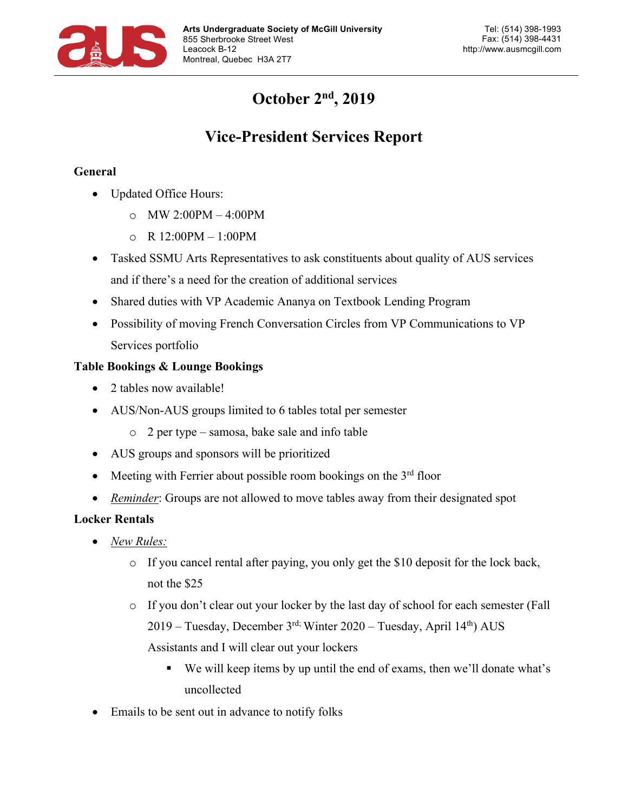

# **October 2nd, 2019**

# **Vice-President Services Report**

### **General**

- Updated Office Hours:
	- o MW 2:00PM 4:00PM
	- o R 12:00PM 1:00PM
- Tasked SSMU Arts Representatives to ask constituents about quality of AUS services and if there's a need for the creation of additional services
- Shared duties with VP Academic Ananya on Textbook Lending Program
- Possibility of moving French Conversation Circles from VP Communications to VP Services portfolio

### **Table Bookings & Lounge Bookings**

- 2 tables now available!
- AUS/Non-AUS groups limited to 6 tables total per semester
	- o 2 per type samosa, bake sale and info table
- AUS groups and sponsors will be prioritized
- Meeting with Ferrier about possible room bookings on the  $3<sup>rd</sup>$  floor
- *Reminder*: Groups are not allowed to move tables away from their designated spot

### **Locker Rentals**

- *New Rules:*
	- $\circ$  If you cancel rental after paying, you only get the \$10 deposit for the lock back, not the \$25
	- o If you don't clear out your locker by the last day of school for each semester (Fall  $2019$  – Tuesday, December 3<sup>rd;</sup> Winter  $2020$  – Tuesday, April  $14<sup>th</sup>$ ) AUS Assistants and I will clear out your lockers
		- § We will keep items by up until the end of exams, then we'll donate what's uncollected
- Emails to be sent out in advance to notify folks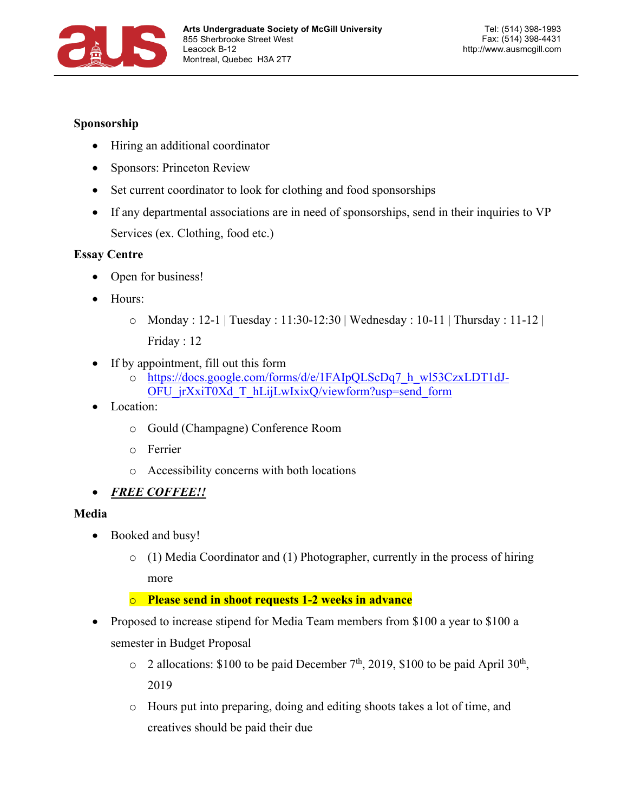

#### **Sponsorship**

- Hiring an additional coordinator
- Sponsors: Princeton Review
- Set current coordinator to look for clothing and food sponsorships
- If any departmental associations are in need of sponsorships, send in their inquiries to VP Services (ex. Clothing, food etc.)

#### **Essay Centre**

- Open for business!
- Hours:
	- $\circ$  Monday : 12-1 | Tuesday : 11:30-12:30 | Wednesday : 10-11 | Thursday : 11-12 | Friday : 12
- If by appointment, fill out this form
	- o https://docs.google.com/forms/d/e/1FAIpQLScDq7\_h\_wl53CzxLDT1dJ-OFU\_jrXxiT0Xd\_T\_hLijLwIxixQ/viewform?usp=send\_form
- Location:
	- o Gould (Champagne) Conference Room
	- o Ferrier
	- o Accessibility concerns with both locations
- *FREE COFFEE!!*

### **Media**

- Booked and busy!
	- o (1) Media Coordinator and (1) Photographer, currently in the process of hiring more

### o **Please send in shoot requests 1-2 weeks in advance**

- Proposed to increase stipend for Media Team members from \$100 a year to \$100 a semester in Budget Proposal
	- $\circ$  2 allocations: \$100 to be paid December 7<sup>th</sup>, 2019, \$100 to be paid April 30<sup>th</sup>, 2019
	- o Hours put into preparing, doing and editing shoots takes a lot of time, and creatives should be paid their due